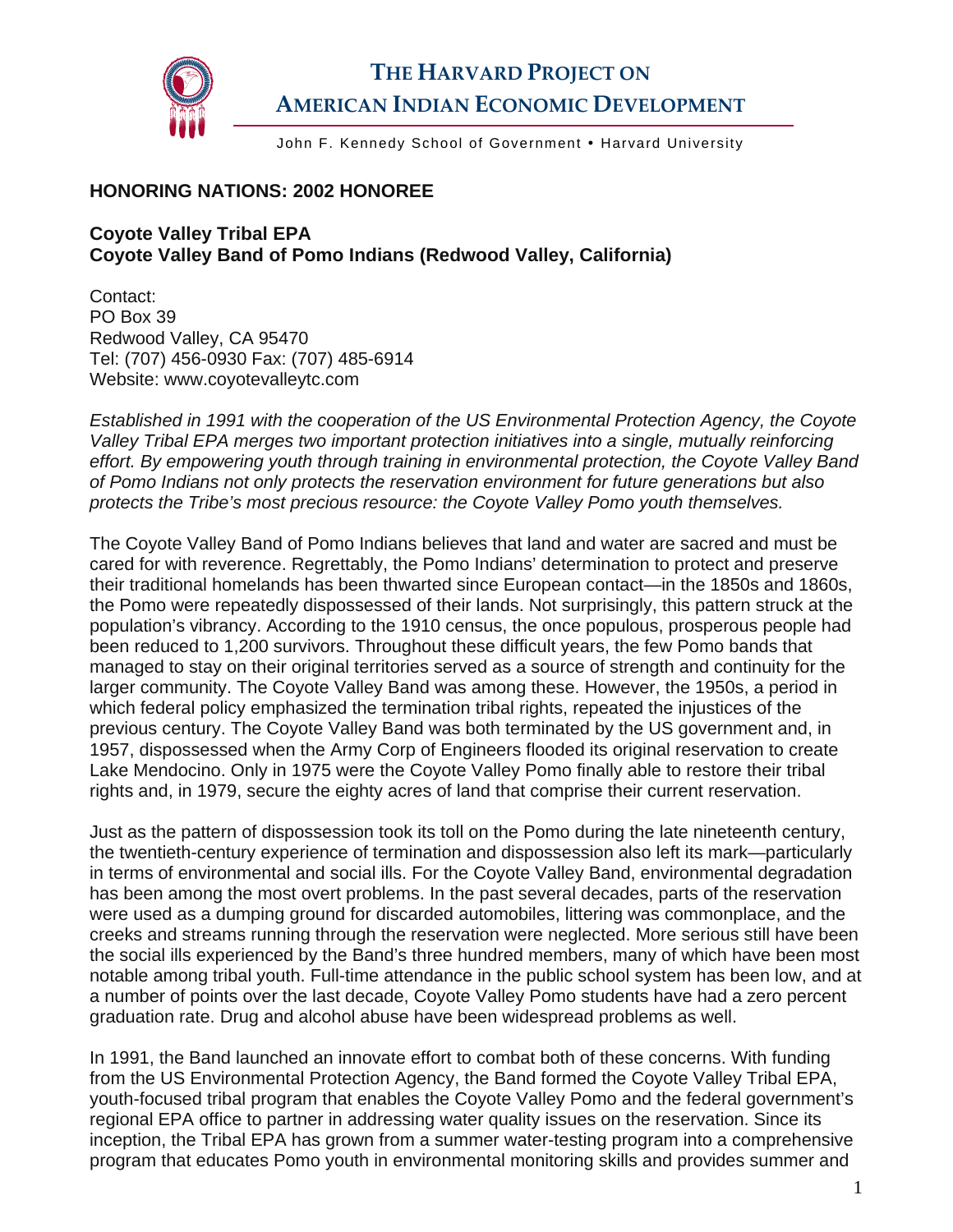

## **THE HARVARD PROJECT ON AMERICAN INDIAN ECONOMIC DEVELOPMENT**

John F. Kennedy School of Government . Harvard University

## **HONORING NATIONS: 2002 HONOREE**

## **Coyote Valley Tribal EPA Coyote Valley Band of Pomo Indians (Redwood Valley, California)**

Contact: PO Box 39 Redwood Valley, CA 95470 Tel: (707) 456-0930 Fax: (707) 485-6914 Website: www.coyotevalleytc.com

*Established in 1991 with the cooperation of the US Environmental Protection Agency, the Coyote Valley Tribal EPA merges two important protection initiatives into a single, mutually reinforcing effort. By empowering youth through training in environmental protection, the Coyote Valley Band of Pomo Indians not only protects the reservation environment for future generations but also protects the Tribe's most precious resource: the Coyote Valley Pomo youth themselves.* 

The Coyote Valley Band of Pomo Indians believes that land and water are sacred and must be cared for with reverence. Regrettably, the Pomo Indians' determination to protect and preserve their traditional homelands has been thwarted since European contact—in the 1850s and 1860s, the Pomo were repeatedly dispossessed of their lands. Not surprisingly, this pattern struck at the population's vibrancy. According to the 1910 census, the once populous, prosperous people had been reduced to 1,200 survivors. Throughout these difficult years, the few Pomo bands that managed to stay on their original territories served as a source of strength and continuity for the larger community. The Coyote Valley Band was among these. However, the 1950s, a period in which federal policy emphasized the termination tribal rights, repeated the injustices of the previous century. The Coyote Valley Band was both terminated by the US government and, in 1957, dispossessed when the Army Corp of Engineers flooded its original reservation to create Lake Mendocino. Only in 1975 were the Coyote Valley Pomo finally able to restore their tribal rights and, in 1979, secure the eighty acres of land that comprise their current reservation.

Just as the pattern of dispossession took its toll on the Pomo during the late nineteenth century, the twentieth-century experience of termination and dispossession also left its mark—particularly in terms of environmental and social ills. For the Coyote Valley Band, environmental degradation has been among the most overt problems. In the past several decades, parts of the reservation were used as a dumping ground for discarded automobiles, littering was commonplace, and the creeks and streams running through the reservation were neglected. More serious still have been the social ills experienced by the Band's three hundred members, many of which have been most notable among tribal youth. Full-time attendance in the public school system has been low, and at a number of points over the last decade, Coyote Valley Pomo students have had a zero percent graduation rate. Drug and alcohol abuse have been widespread problems as well.

In 1991, the Band launched an innovate effort to combat both of these concerns. With funding from the US Environmental Protection Agency, the Band formed the Coyote Valley Tribal EPA, youth-focused tribal program that enables the Coyote Valley Pomo and the federal government's regional EPA office to partner in addressing water quality issues on the reservation. Since its inception, the Tribal EPA has grown from a summer water-testing program into a comprehensive program that educates Pomo youth in environmental monitoring skills and provides summer and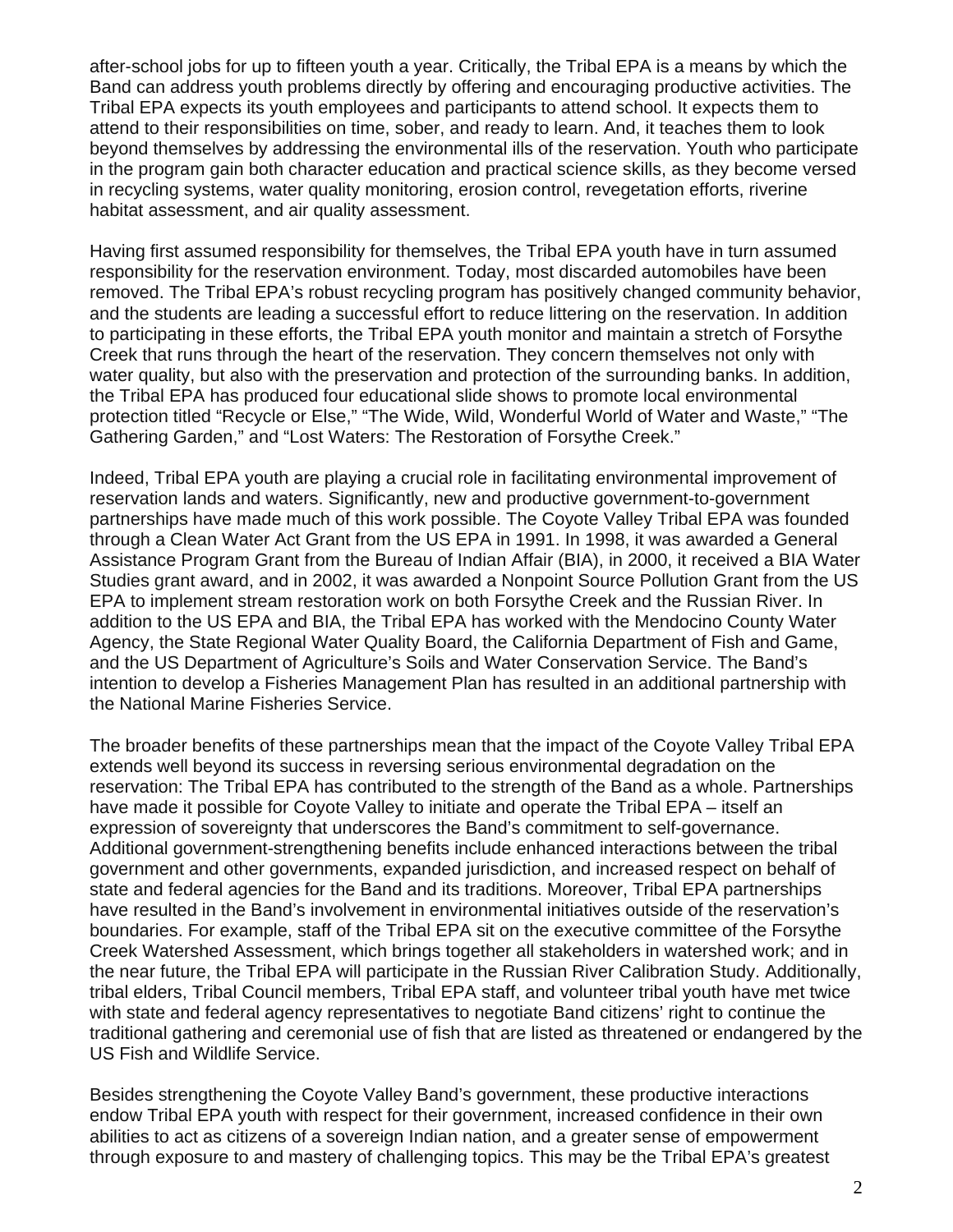after-school jobs for up to fifteen youth a year. Critically, the Tribal EPA is a means by which the Band can address youth problems directly by offering and encouraging productive activities. The Tribal EPA expects its youth employees and participants to attend school. It expects them to attend to their responsibilities on time, sober, and ready to learn. And, it teaches them to look beyond themselves by addressing the environmental ills of the reservation. Youth who participate in the program gain both character education and practical science skills, as they become versed in recycling systems, water quality monitoring, erosion control, revegetation efforts, riverine habitat assessment, and air quality assessment.

Having first assumed responsibility for themselves, the Tribal EPA youth have in turn assumed responsibility for the reservation environment. Today, most discarded automobiles have been removed. The Tribal EPA's robust recycling program has positively changed community behavior, and the students are leading a successful effort to reduce littering on the reservation. In addition to participating in these efforts, the Tribal EPA youth monitor and maintain a stretch of Forsythe Creek that runs through the heart of the reservation. They concern themselves not only with water quality, but also with the preservation and protection of the surrounding banks. In addition, the Tribal EPA has produced four educational slide shows to promote local environmental protection titled "Recycle or Else," "The Wide, Wild, Wonderful World of Water and Waste," "The Gathering Garden," and "Lost Waters: The Restoration of Forsythe Creek."

Indeed, Tribal EPA youth are playing a crucial role in facilitating environmental improvement of reservation lands and waters. Significantly, new and productive government-to-government partnerships have made much of this work possible. The Coyote Valley Tribal EPA was founded through a Clean Water Act Grant from the US EPA in 1991. In 1998, it was awarded a General Assistance Program Grant from the Bureau of Indian Affair (BIA), in 2000, it received a BIA Water Studies grant award, and in 2002, it was awarded a Nonpoint Source Pollution Grant from the US EPA to implement stream restoration work on both Forsythe Creek and the Russian River. In addition to the US EPA and BIA, the Tribal EPA has worked with the Mendocino County Water Agency, the State Regional Water Quality Board, the California Department of Fish and Game, and the US Department of Agriculture's Soils and Water Conservation Service. The Band's intention to develop a Fisheries Management Plan has resulted in an additional partnership with the National Marine Fisheries Service.

The broader benefits of these partnerships mean that the impact of the Coyote Valley Tribal EPA extends well beyond its success in reversing serious environmental degradation on the reservation: The Tribal EPA has contributed to the strength of the Band as a whole. Partnerships have made it possible for Coyote Valley to initiate and operate the Tribal EPA – itself an expression of sovereignty that underscores the Band's commitment to self-governance. Additional government-strengthening benefits include enhanced interactions between the tribal government and other governments, expanded jurisdiction, and increased respect on behalf of state and federal agencies for the Band and its traditions. Moreover, Tribal EPA partnerships have resulted in the Band's involvement in environmental initiatives outside of the reservation's boundaries. For example, staff of the Tribal EPA sit on the executive committee of the Forsythe Creek Watershed Assessment, which brings together all stakeholders in watershed work; and in the near future, the Tribal EPA will participate in the Russian River Calibration Study. Additionally, tribal elders, Tribal Council members, Tribal EPA staff, and volunteer tribal youth have met twice with state and federal agency representatives to negotiate Band citizens' right to continue the traditional gathering and ceremonial use of fish that are listed as threatened or endangered by the US Fish and Wildlife Service.

Besides strengthening the Coyote Valley Band's government, these productive interactions endow Tribal EPA youth with respect for their government, increased confidence in their own abilities to act as citizens of a sovereign Indian nation, and a greater sense of empowerment through exposure to and mastery of challenging topics. This may be the Tribal EPA's greatest